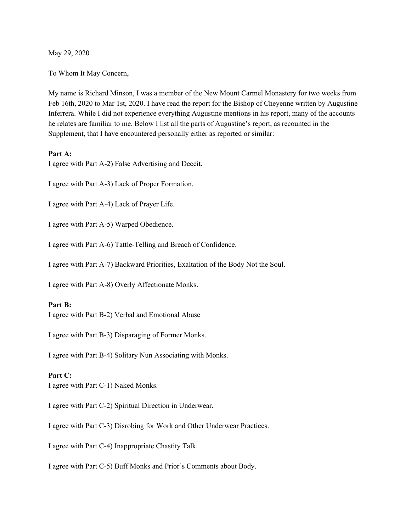May 29, 2020

To Whom It May Concern,

My name is Richard Minson, I was a member of the New Mount Carmel Monastery for two weeks from Feb 16th, 2020 to Mar 1st, 2020. I have read the report for the Bishop of Cheyenne written by Augustine Inferrera. While I did not experience everything Augustine mentions in his report, many of the accounts he relates are familiar to me. Below I list all the parts of Augustine's report, as recounted in the Supplement, that I have encountered personally either as reported or similar:

### **Part A:**

I agree with Part A-2) False Advertising and Deceit.

I agree with Part A-3) Lack of Proper Formation.

I agree with Part A-4) Lack of Prayer Life.

I agree with Part A-5) Warped Obedience.

I agree with Part A-6) Tattle-Telling and Breach of Confidence.

I agree with Part A-7) Backward Priorities, Exaltation of the Body Not the Soul.

I agree with Part A-8) Overly Affectionate Monks.

#### **Part B:**

I agree with Part B-2) Verbal and Emotional Abuse

I agree with Part B-3) Disparaging of Former Monks.

I agree with Part B-4) Solitary Nun Associating with Monks.

### **Part C:**

I agree with Part C-1) Naked Monks.

I agree with Part C-2) Spiritual Direction in Underwear.

I agree with Part C-3) Disrobing for Work and Other Underwear Practices.

I agree with Part C-4) Inappropriate Chastity Talk.

I agree with Part C-5) Buff Monks and Prior's Comments about Body.